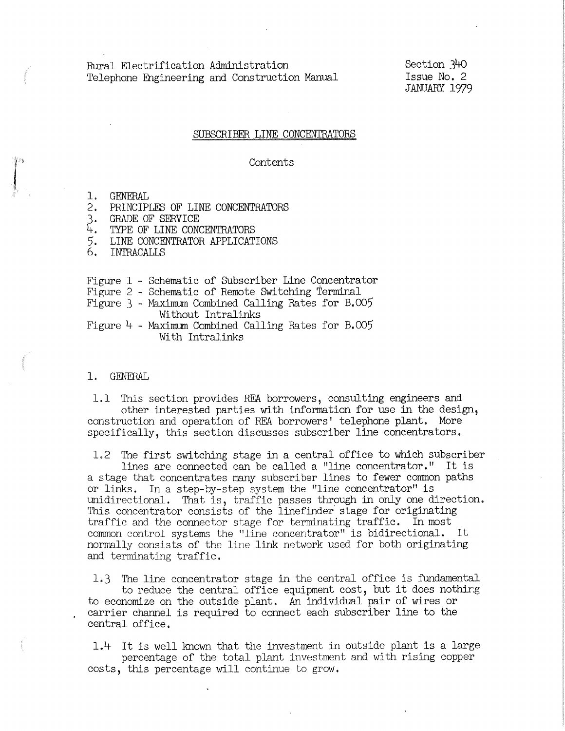Rural Electrification Administration Telephone Engineering and Construction Manual Section 34o Issue No. 2 JANUARY 1979

## SUBSCRIBER LINE CONCENTRATORS

# Contents

1. GENERAL

- 2. PRINCIPLES OF LINE CONCENTRATORS
- 3. GRADE OF SERVICE
- 4-. TYPE OF LINE CONCENTRATORS
- 5. LINE CONCENTRATOR APPLICATIONS
- 6. INTRACALLS
- Figure 1 Schematic of Subscriber Line Concentrator

Figure 2 - Schematic of Remote Switching Terminal

Figure 3 - Maximum Combined Calling Rates for B.005 Without Intralinks

Figure  $4$  - Maximum Combined Calling Rates for B.005 With Intralinks

### 1. GENERAL

1.1 This section provides REA borrowers, consulting engineers and other interested parties with information for use in the design, construction and operation of REA borrowers' telephone plant. More specifically, this section discusses subscriber line concentrators.

1.2 The first switching stage in a central office to which subscriber lines are connected can be called a "line concentrator." It is

a stage that concentrates many subscriber lines to fewer common paths or links. In a step-by-step system the "line concentrator" is unidirectional. That is, traffic passes through in only one direction. This concentrator consists of the linefinder stage for originating traffic and the connector stage for terminating traffic. In most common control systems the "line concentrator" is bidirectional. It normally consists of the line link network used for both originating and terminating traffic,

1.3 The line concentrator stage in the central office is fundamental to reduce the central office equipment cost, but it does nothir:g to economize on the outside plant. An individual pair *of* wires or . carrier channel is required to connect each subscriber line to the central office,

 $1.4$  It is well known that the investment in outside plant is a large percentage of the total plant investment and with rising copper costs, this percentage will continue to grow,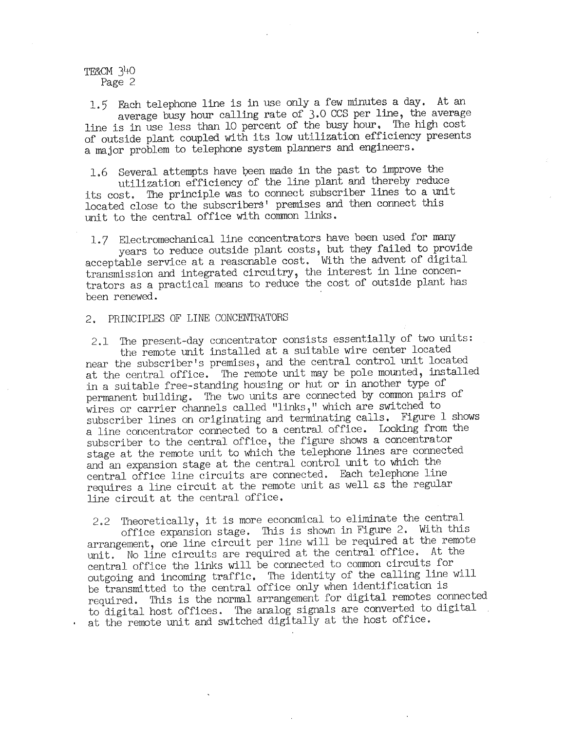TF&CM 34-0 Page 2

1. 5' Each telephone line is in use only a few minutes a day. At an average busy hour calling rate of 3.0 CCS per line, the average line is in use less than 10 percent of the busy hour. The high cost of outside plant coupled with its low utilization efficiency presents a major problem to telephone system planners and engineers.

1.6 Several attempts have been made in the past to improve the utilization efficiency of the line plant and thereby reduce its cost. The principle was to connect subscriber lines to a unit located close to the subscribers' premises and then connect this unit to the central office with common links.

1.7 Electromechanical line concentrators have been used for many acceptable service at a reasonable cost. With the advent of digital transmission and integrated circuitry, the interest in line concentrators as a practical means to reduce the cost of outside plant has been renewed.

# 2. PRINCIPLES OF LINE CONCENTRATORS

2.1 The present-day concentrator consists essentially of two units: the remote unit installed at a suitable wire center located near the subscriber's premises, and the central control unit located at the central office. The remote unit may be pole mounted, installed in a suitable free-standing housing or hut or in another type of permanent building. The two units are connected by common pairs of wires or carrier channels called "links," which are switched to subscriber lines on originating and terminating calls. Figure 1 shows a line concentrator connected to a central office. Looking from the subscriber to the central office, the figure shows a concentrator stage at the remote unit to which the telephone lines are connected and an expansion stage at the central control unit to which the central office line circuits are connected. Each telephone line requires a line circuit at the remote unit as well as the regular line circuit at the central office.

2.2 Theoretically, it is more economical to eliminate the central office expansion stage. This is shown in Figure 2. With this arrangement, one line circuit per line will be required at the remote unit. No line circuits are required at the central office. At the central office the links will be connected to common circuits for outgoing and incoming traffic, The identity of the calling line will be transmitted to the central office only when identification is required. This is the normal arrangement for digital remotes connecte<sup>d</sup> to digital host offices. The analog signals are converted to digital at the remote unit and switched digitally at the host office.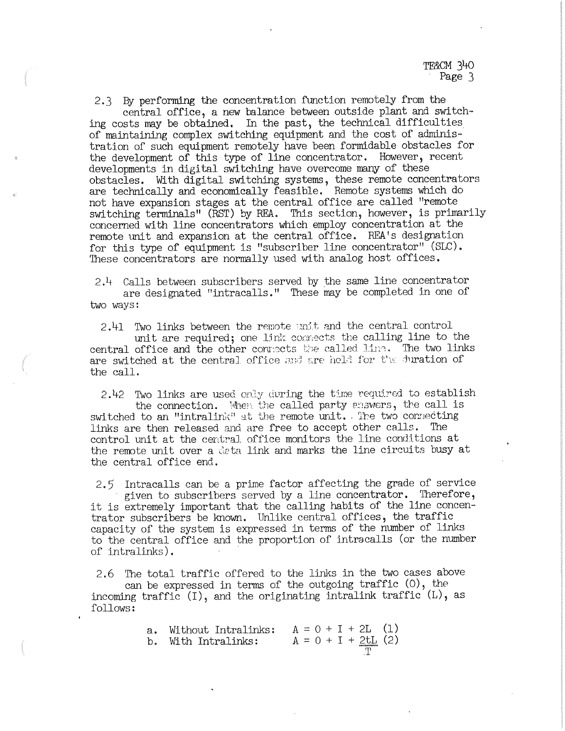2.3 By performing the concentration fmction remotely from the central office, a new balance between outside plant and switching costs may be obtained. In the past, the technical difficulties of maintaining complex switching equipment and the cost of administration of such equipment remotely have been formidable obstacles for the development of this type of line concentrator. However, recent developments in digital switching have overcome many of these obstacles. With digital switching systems, these remote concentrators are technically and economically feasible. Remote systems which do not have expansion stages at the central office are called "remote switching terminals" (RST) by REA. This section, however, is primarily concerned with line concentrators which employ concentration at the remote unit and expansion at the central office. REA's designation for this type of equipment is "subscriber line concentrator" (SLC). These concentrators are normally used with analog host offices.

2.4 Calls between subscribers served by the same line concentrator are designated "intracalls." These may be completed in one of two ways:

2.41 Two links between the remote unit and the central control unit are required; one link connects the calling line to the central office and the other conrects the called line. The two links are switched at the central office and are held for the duration of the call.

2.42 Two links are used only during the time required to establish the connection. When the called party exsuers, the call is switched to an "intralink" at the remote unit. The two connecting links are then released and are free to accept other calls. control unit at the eentral office monitors the line conditions at the remote unit over a deta link and marks the line circuits busy at the central office end.

2.5 Intracalls can be a prime factor affecting the grade of service<br>given to subscribers served by a line concentrator. Therefore, it is extremely important that the calling habits of the line concentrator subscribers be known. Unlike central offices, the traffic capacity of the system is expressed in terms of the number of links to the central office and the proportion of intracalls (or the number of intralinks).

2.6 The total traffic offered to the links in the two cases above can be expressed in terms of the outgoing traffic  $(0)$ , the incoming traffic  $(I)$ , and the originating intralink traffic  $(L)$ , as follows:

| a. Without Intralinks: | $A = 0 + I + 2L$ (1)  |
|------------------------|-----------------------|
| b. With Intralinks:    | $A = 0 + I + 2tL$ (2) |
|                        |                       |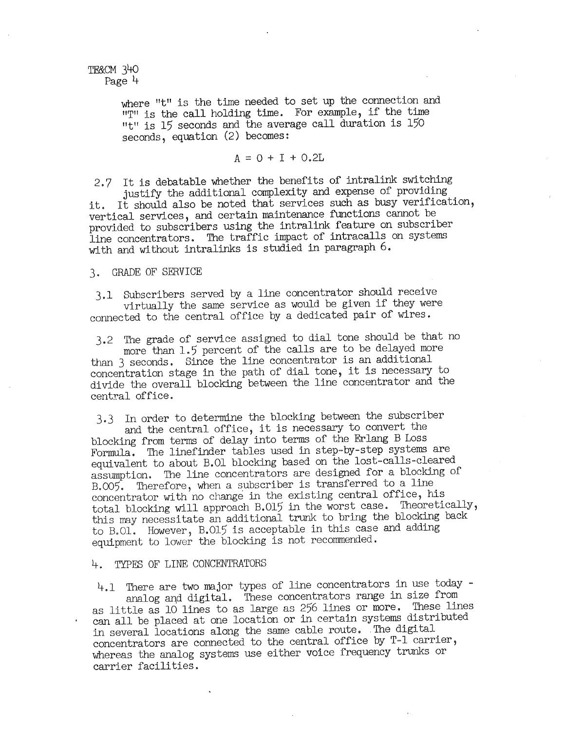TF&CM 340 Page 4

> where "t" is the time needed to set up the connection and "T" is the call holding time. For example, if the time "t" is 15 seconds and the average call duration is 150 seconds, equation (2) becomes:

> > $A = 0 + I + 0.2L$

2.7 It is debatable whether the benefits of intralink switching justify the additional complexity and expense of providing it. It should also be noted that services such as busy verification,

vertical services, and certain maintenance functions cannot be provided to subscribers using the intralink feature on subscriber line concentrators. The traffic impact of intracalls on systems with and without intralinks is studied in paragraph 6.

3. GRADE OF SERVICE

3,1 Subscribers served by a line concentrator should receive connected to the central office by a dedicated pair of wires.

3.2 The grade of service assigned to dial tone should be that no more than 1.5 percent of the calls are to be delayed more than 3 seconds. Since the line concentrator is an additional concentration stage in the path of dial tone, it is necessary to divide the overall blocking between the line concentrator and the central office.

3.3 In order to determine the blocking between the subscriber and the central office, it is necessary to convert the blocking from terms of delay into terms of the Erlang B Loss Formula. The linefinder tables used in step-by-step systems are equivalent to about B.01 blocking based on the lost-calls-cleared assumption. The line concentrators are designed for a blocking of concentrator with no change in the existing central office, his total blocking will approach B.015 in the worst case. Theoretically, this may necessitate an additional trunk to bring the blocking back to B.01. However, B.015 is acceptable in this case and adding equipment to lower the blocking is not recommended.

## 4. TYPES OF LINE CONCENTRATORS

4.1 There are two major types of line concentrators in use today - analog and digital. These concentrators range in size from as little as 10 lines to as large as 256 lines or more. These lines can all be placed at one location or in certain systems distributed in several locations along the same cable route. The digital concentrators are connected to the central office by T-1 carrier, whereas the analog systems use either voice frequency trunks or carrier facilities.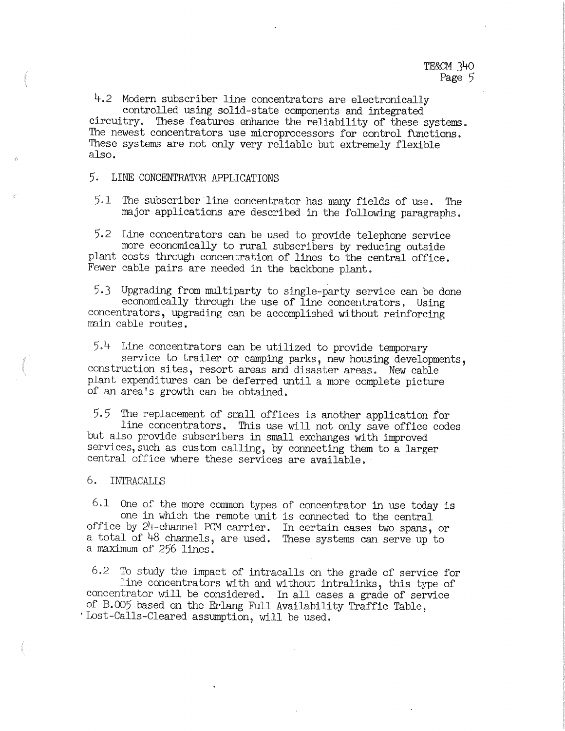4.2 Modern subscriber line concentrators are electronically controlled using solid-state components and integrated

circuitry. These features enhance the reliability of these systems. The newest concentrators use microprocessors for control functions. These systems are not only very reliable but extremely flexible also.

5. LINE CONCENTRATOR APPLICATIONS

5.1 The subscriber line concentrator has many fields of use. The major applications are described in the following paragraphs.

5.2 Line concentrators can be used to provide telephone service plant costs through concentration of lines to the central office. Fewer cable pairs are needed in the backbone plant.

5.3 Upgrading from multiparty to single-party service can be done concentrators, upgrading can be accomplished without reinforcing main cable routes.

5.4 Line concentrators can be utilized to provide temporary service to trailer or camping parks, new housing developments, construction sites, resort areas and disaster areas. New cable <sup>p</sup>lant expenditures can be deferred until a more complete picture of an area's growth can be obtained.

5,5 The replacement of small offices is another application for but also provide subscribers in small exchanges with improved services, such as custom calling, by connecting them to a larger central office where these services are available.

### 6. INTRACALLS

 $6.1$  One of the more common types of concentrator in use today is one in which the remote unit is connected to the central office by 24-channel PCM carrier. In certain cases two spans, or a total of 48 channels, are used. These systems can serve up to a maximum of 256 lines. one in which the remote unit is connected to the central

6.2 To study the impact of intracalls on the grade of service for<br>line concentrators with and without intralinks, this type of<br>concentrator will be considered. In all cases a grade of service<br>of B.OO5 based on the Erlang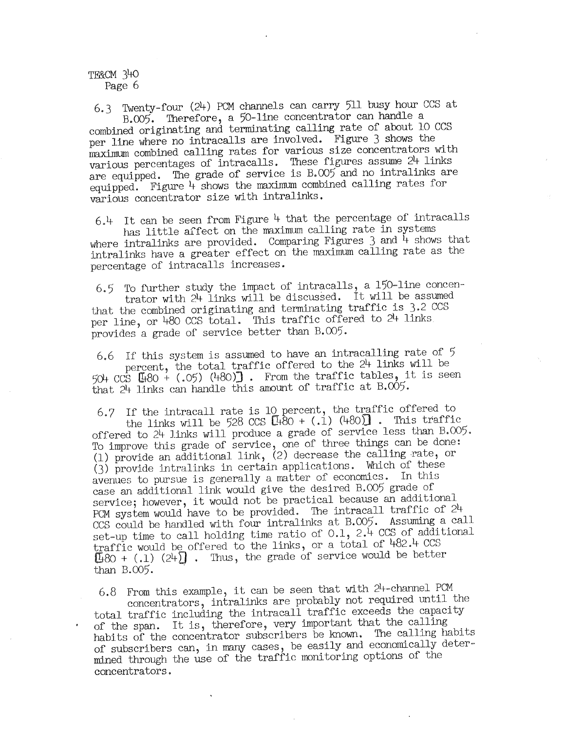TE&CM 340 Page 6

6.3 Twenty-four (24) PCM channels can carry 511 busy hour CCS at B.005. Therefore, a 50-line concentrator can handle a

combined originating and terminating calling rate of about 10 CCS per line where no intracalls are involved. Figure 3 shows the maximum combined calling rates for various size concentrators with various percentages of intracalls. These figures assume 24 links are equipped. The grade of service is B.005 and no intralinks are equipped. Figure 4 shows the maximum combined calling rates for various concentrator size with intralinks.

6.4 It can be seen from Figure 4 that the percentage of intracalls

has little affect on the maximum calling rate in systems where intralinks are provided. Comparing Figures  $3$  and  $\tilde{4}$  shows that intralinks have a greater effect on the maximum calling rate as the percentage of intracalls increases.

6.5 To further study the impact of intracalls, a 150-line concen-<br>trator with  $24$  links will be discussed. It will be assumed that the combined originating and terminating traffic is 3.2 CCS per line, or 480 CCS total. This traffic offered to 24 links provides a grade of service better than B.005.

6.6 If this system is assumed to have an intracalling rate of 5 percent, the total traffic offered to the  $24$  links will be 50+  $CCS$   $[[+80 + (.05) (+80)]$ . From the traffic tables, it is seen that 24-links can handle this amount of traffic at B.005.

6.7 If the intracall rate is 10 percent, the traffic offered to the links will be 528 CCS  $[$ H $-80 + (.1)$  ( $+80$ ) $]$ . This traffic offered to 2 $+$  links will produce a grade of service less than  $B.005$ . offered to <sup>24</sup>links will produce a grade of service less than B.005. To improve this grade of service, one of three things can be done: (1) provide an additional link, (2) decrease the calling rate, or (3) provide intralinks in certain applications. Which of these avenues to pursue is generally a matter of economics. In this service; however, it would not be practical because an additional PCM system would have to be provided. The intracall traffic of  $24$ CCS could be handled with four intralinks at B.005. Assuming a call set-up time to call holding time ratio of 0.1, 2.4 CCS of additional traffic would be offered to the links, or a total of 482.4 CCS  $[180 + (.1) (24)]$ . Thus, the grade of service would be better than B.005. .

6.8 From this example, it can be seen that with 24-channel PCM concentrators, intralinks are probably not required until the total traffic including the intra.call traffic exceeds the capacity of the span. It is, therefore, very important that the calling habits of the concentrator subscribers be known. The calling habits of subscribers can, in many cases, be easily and economically determined through the use of the traffic monitoring options of the concentrators.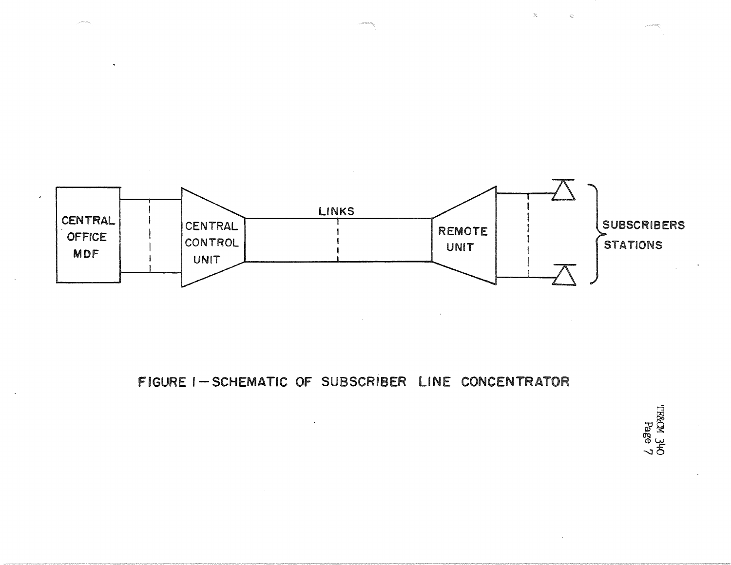

FIGURE I-SCHEMATIC OF SUBSCRIBER LINE CONCENTRATOR

L aded<br>Onf KOXHL

 $\mathbb{C}$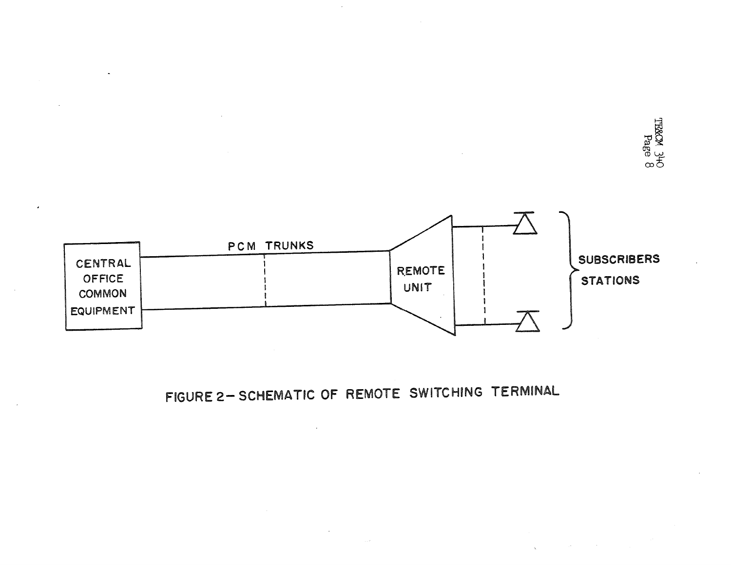



FIGURE 2- SCHEMATIC OF REMOTE SWITCHING TERMINAL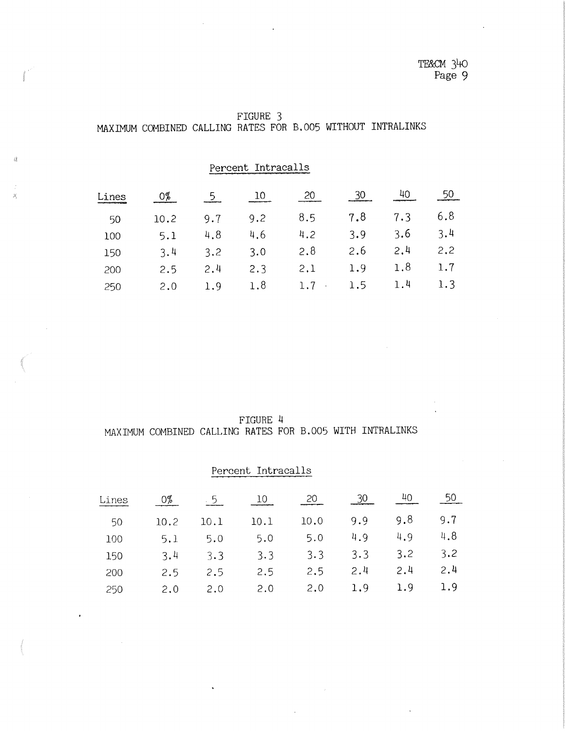| FIGURE 3 |  |  |  |  |  |  |                                                             |  |
|----------|--|--|--|--|--|--|-------------------------------------------------------------|--|
|          |  |  |  |  |  |  | MAXIMUM COMBINED CALLING RATES FOR B.005 WITHOUT INTRALINKS |  |

Percent Intracalls

 $\vec{a}$ 

 $\widetilde{\mathcal{A}}$ 

| Li<br>nes |      |     | 10  | 20                |     |     |     |
|-----------|------|-----|-----|-------------------|-----|-----|-----|
| 50        | 10.2 | 9.7 | 9.2 | 8.5               | 7.8 | 7.3 | 6.8 |
| 100       | 5.1  | 4.8 | 4.6 | 4.2               | 3.9 | 3.6 | 3.4 |
| 150       | 3.4  | 3.2 | 3.0 | 2.8               | 2.6 | 2,4 | 2,2 |
| 200       | 2.5  | 2.4 | 2.3 | 2.1               | 1.9 | 1.8 | 1.7 |
| 250       | 2.0  | 1.9 | 1.8 | 1.7<br>$\sim 100$ | 1.5 | 1.4 | 1.3 |

FIGURE 4 MAXIMUM COMBINED CALLING RATES FOR B.005 WITH INTRALINKS

|       |      |      | Percent Intracalls |      |     |     |     |
|-------|------|------|--------------------|------|-----|-----|-----|
| Lines | 0%   | . 5  | 10                 | 20   | 30  | 40  | 50  |
| 50    | 10.2 | 10.1 | 10.1               | 10.0 | 9.9 | 9.8 | 9.7 |
| 100   | 5.1  | 5.0  | 5.0                | 5.0  | 4.9 | 4.9 | 4.8 |
| 150   | 3.4  | 3.3  | 3.3                | 3.3  | 3.3 | 3.2 | 3.2 |
| 200   | 2.5  | 2.5  | 2.5                | 2.5  | 2.4 | 2.4 | 2.4 |
| 250   | 2.0  | 2.0  | 2.0                | 2.0  | 1.9 | 1.9 | 1.9 |